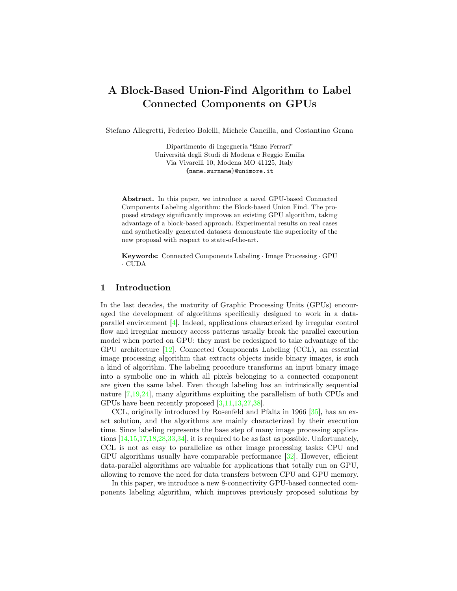# A Block-Based Union-Find Algorithm to Label Connected Components on GPUs

Stefano Allegretti, Federico Bolelli, Michele Cancilla, and Costantino Grana

Dipartimento di Ingegneria "Enzo Ferrari" Università degli Studi di Modena e Reggio Emilia Via Vivarelli 10, Modena MO 41125, Italy {name.surname}@unimore.it

Abstract. In this paper, we introduce a novel GPU-based Connected Components Labeling algorithm: the Block-based Union Find. The proposed strategy significantly improves an existing GPU algorithm, taking advantage of a block-based approach. Experimental results on real cases and synthetically generated datasets demonstrate the superiority of the new proposal with respect to state-of-the-art.

Keywords: Connected Components Labeling · Image Processing · GPU · CUDA

#### 1 Introduction

In the last decades, the maturity of Graphic Processing Units (GPUs) encouraged the development of algorithms specifically designed to work in a dataparallel environment [\[4\]](#page-9-0). Indeed, applications characterized by irregular control flow and irregular memory access patterns usually break the parallel execution model when ported on GPU: they must be redesigned to take advantage of the GPU architecture [\[12\]](#page-9-1). Connected Components Labeling (CCL), an essential image processing algorithm that extracts objects inside binary images, is such a kind of algorithm. The labeling procedure transforms an input binary image into a symbolic one in which all pixels belonging to a connected component are given the same label. Even though labeling has an intrinsically sequential nature [\[7](#page-9-2)[,19,](#page-9-3)[24\]](#page-10-0), many algorithms exploiting the parallelism of both CPUs and GPUs have been recently proposed [\[3](#page-8-0)[,11,](#page-9-4)[13,](#page-9-5)[27,](#page-10-1)[38\]](#page-10-2).

CCL, originally introduced by Rosenfeld and Pfaltz in 1966 [\[35\]](#page-10-3), has an exact solution, and the algorithms are mainly characterized by their execution time. Since labeling represents the base step of many image processing applications [\[14,](#page-9-6)[15,](#page-9-7)[17,](#page-9-8)[18](#page-9-9)[,28,](#page-10-4)[33,](#page-10-5)[34\]](#page-10-6), it is required to be as fast as possible. Unfortunately, CCL is not as easy to parallelize as other image processing tasks: CPU and GPU algorithms usually have comparable performance [\[32\]](#page-10-7). However, efficient data-parallel algorithms are valuable for applications that totally run on GPU, allowing to remove the need for data transfers between CPU and GPU memory.

In this paper, we introduce a new 8-connectivity GPU-based connected components labeling algorithm, which improves previously proposed solutions by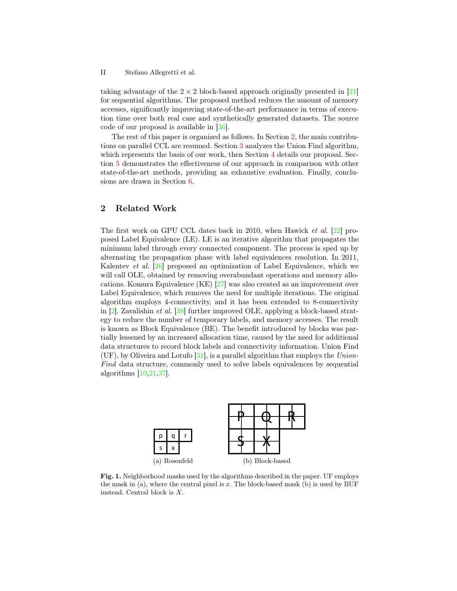#### II Stefano Allegretti et al.

taking advantage of the  $2 \times 2$  block-based approach originally presented in [\[21\]](#page-10-8) for sequential algorithms. The proposed method reduces the amount of memory accesses, significantly improving state-of-the-art performance in terms of execution time over both real case and synthetically generated datasets. The source code of our proposal is available in [\[36\]](#page-10-9).

The rest of this paper is organized as follows. In Section [2,](#page-1-0) the main contributions on parallel CCL are resumed. Section [3](#page-2-0) analyzes the Union Find algorithm, which represents the basis of our work, then Section [4](#page-3-0) details our proposal. Section [5](#page-5-0) demonstrates the effectiveness of our approach in comparison with other state-of-the-art methods, providing an exhaustive evaluation. Finally, conclusions are drawn in Section [6.](#page-8-1)

## <span id="page-1-0"></span>2 Related Work

The first work on GPU CCL dates back in 2010, when Hawick et al. [\[22\]](#page-10-10) proposed Label Equivalence (LE). LE is an iterative algorithm that propagates the minimum label through every connected component. The process is sped up by alternating the propagation phase with label equivalences resolution. In 2011, Kalentev et al. [\[26\]](#page-10-11) proposed an optimization of Label Equivalence, which we will call OLE, obtained by removing overabundant operations and memory allocations. Komura Equivalence (KE) [\[27\]](#page-10-1) was also created as an improvement over Label Equivalence, which removes the need for multiple iterations. The original algorithm employs 4-connectivity, and it has been extended to 8-connectivity in [\[2\]](#page-8-2). Zavalishin et al. [\[38\]](#page-10-2) further improved OLE, applying a block-based strategy to reduce the number of temporary labels, and memory accesses. The result is known as Block Equivalence (BE). The benefit introduced by blocks was partially lessened by an increased allocation time, caused by the need for additional data structures to record block labels and connectivity information. Union Find  $(UF)$ , by Oliveira and Lotufo [\[31\]](#page-10-12), is a parallel algorithm that employs the Union-Find data structure, commonly used to solve labels equivalences by sequential algorithms [\[10,](#page-9-10)[21,](#page-10-8)[37\]](#page-10-13).

<span id="page-1-2"></span><span id="page-1-1"></span>

Fig. 1. Neighborhood masks used by the algorithms described in the paper. UF employs the mask in  $(a)$ , where the central pixel is x. The block-based mask  $(b)$  is used by BUF instead. Central block is X.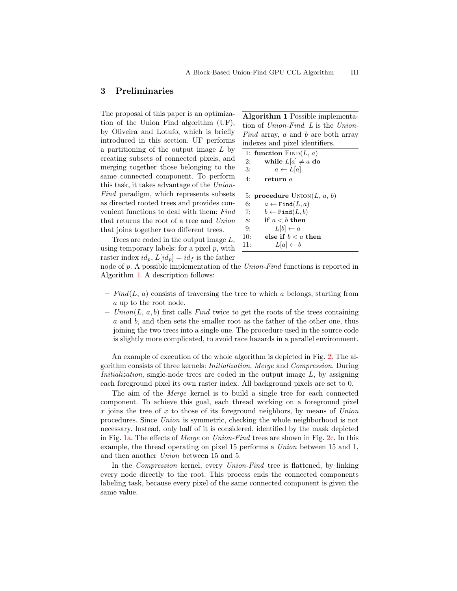#### <span id="page-2-0"></span>3 Preliminaries

The proposal of this paper is an optimization of the Union Find algorithm (UF), by Oliveira and Lotufo, which is briefly introduced in this section. UF performs a partitioning of the output image L by creating subsets of connected pixels, and merging together those belonging to the same connected component. To perform this task, it takes advantage of the Union-Find paradigm, which represents subsets as directed rooted trees and provides convenient functions to deal with them: Find that returns the root of a tree and Union that joins together two different trees.

Trees are coded in the output image L, using temporary labels: for a pixel  $p$ , with raster index  $id_p$ ,  $L(id_p) = id_f$  is the father

<span id="page-2-1"></span>Algorithm 1 Possible implementation of Union-Find. L is the Union-Find array, a and b are both array indexes and pixel identifiers.

```
1: function \text{FIND}(L, a)2: while L[a] \neq a do
 3: a \leftarrow L[a]4: return a
 5: procedure \text{UNION}(L, a, b)6: a \leftarrow \texttt{Find}(L, a)7: b \leftarrow \text{Find}(L, b)8: if a < b then
 9: L[b] \leftarrow a10: else if b < a then
11: L[a] \leftarrow b
```
node of p. A possible implementation of the Union-Find functions is reported in Algorithm [1.](#page-2-1) A description follows:

- $Find(L, a)$  consists of traversing the tree to which a belongs, starting from a up to the root node.
- $Union(L, a, b)$  first calls Find twice to get the roots of the trees containing a and b, and then sets the smaller root as the father of the other one, thus joining the two trees into a single one. The procedure used in the source code is slightly more complicated, to avoid race hazards in a parallel environment.

An example of execution of the whole algorithm is depicted in Fig. [2.](#page-3-1) The algorithm consists of three kernels: Initialization, Merge and Compression. During Initialization, single-node trees are coded in the output image  $L$ , by assigning each foreground pixel its own raster index. All background pixels are set to 0.

The aim of the Merge kernel is to build a single tree for each connected component. To achieve this goal, each thread working on a foreground pixel x joins the tree of x to those of its foreground neighbors, by means of Union procedures. Since Union is symmetric, checking the whole neighborhood is not necessary. Instead, only half of it is considered, identified by the mask depicted in Fig. [1a.](#page-1-1) The effects of Merge on Union-Find trees are shown in Fig. [2c.](#page-3-2) In this example, the thread operating on pixel 15 performs a Union between 15 and 1, and then another Union between 15 and 5.

In the Compression kernel, every Union-Find tree is flattened, by linking every node directly to the root. This process ends the connected components labeling task, because every pixel of the same connected component is given the same value.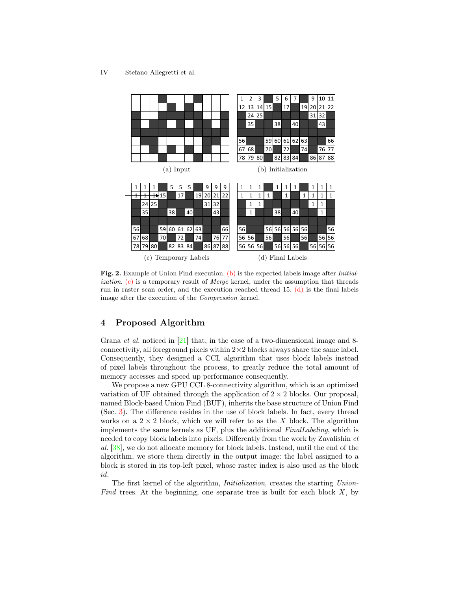<span id="page-3-3"></span><span id="page-3-2"></span>

<span id="page-3-4"></span><span id="page-3-1"></span>Fig. 2. Example of Union Find execution. [\(b\)](#page-3-3) is the expected labels image after *Initialization.* [\(c\)](#page-3-2) is a temporary result of *Merge* kernel, under the assumption that threads run in raster scan order, and the execution reached thread 15.  $(d)$  is the final labels image after the execution of the Compression kernel.

### <span id="page-3-0"></span>4 Proposed Algorithm

Grana *et al.* noticed in  $[21]$  that, in the case of a two-dimensional image and 8connectivity, all foreground pixels within  $2\times 2$  blocks always share the same label. Consequently, they designed a CCL algorithm that uses block labels instead of pixel labels throughout the process, to greatly reduce the total amount of memory accesses and speed up performance consequently.

We propose a new GPU CCL 8-connectivity algorithm, which is an optimized variation of UF obtained through the application of  $2 \times 2$  blocks. Our proposal, named Block-based Union Find (BUF), inherits the base structure of Union Find (Sec. [3\)](#page-2-0). The difference resides in the use of block labels. In fact, every thread works on a  $2 \times 2$  block, which we will refer to as the X block. The algorithm implements the same kernels as UF, plus the additional FinalLabeling, which is needed to copy block labels into pixels. Differently from the work by Zavalishin et al. [\[38\]](#page-10-2), we do not allocate memory for block labels. Instead, until the end of the algorithm, we store them directly in the output image: the label assigned to a block is stored in its top-left pixel, whose raster index is also used as the block id.

The first kernel of the algorithm, *Initialization*, creates the starting *Union*-Find trees. At the beginning, one separate tree is built for each block  $X$ , by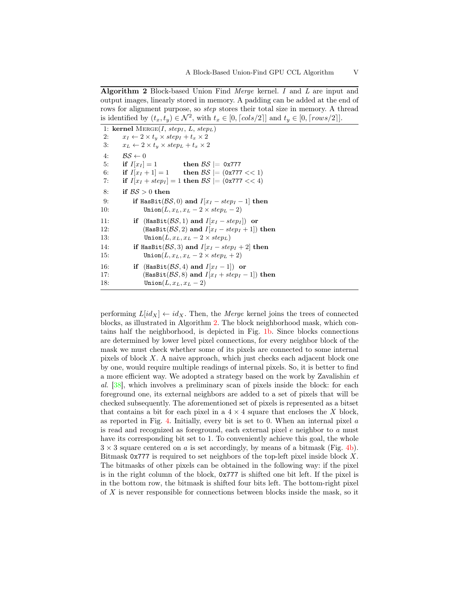<span id="page-4-0"></span>Algorithm 2 Block-based Union Find Merge kernel. I and L are input and output images, linearly stored in memory. A padding can be added at the end of rows for alignment purpose, so *step* stores their total size in memory. A thread is identified by  $(t_x, t_y) \in \mathcal{N}^2$ , with  $t_x \in [0, \lceil \cos(2) \rceil]$  and  $t_y \in [0, \lceil \cos(2) \rceil]$ .

|     | 1: kernel MERGE(I, step <sub>I</sub> , L, step <sub>L</sub> ) |
|-----|---------------------------------------------------------------|
| 2:  | $x_I \leftarrow 2 \times t_y \times step_I + t_x \times 2$    |
| 3:  | $x_L \leftarrow 2 \times t_u \times step_L + t_x \times 2$    |
| 4:  | $BS \leftarrow 0$                                             |
| 5:  | if $I[x_I] = 1$ then $\beta S = 0x777$                        |
| 6:  | if $I[x_I + 1] = 1$ then $BS = (0x777 < 1)$                   |
| 7:  | if $I[x_I + step_I] = 1$ then $BS = (0x777 < 4)$              |
| 8:  | if $BS > 0$ then                                              |
| 9:  | if HasBit( $\mathcal{BS}, 0$ ) and $I[x_I - step_I - 1]$ then |
| 10: | $\text{Union}(L, x_L, x_L - 2 \times step_L - 2)$             |
| 11: | if (HasBit( $\beta S$ , 1) and $I[x_I - step_I]$ ) or         |
| 12: | (HasBit( $\beta S$ , 2) and $I[x_I - step_I + 1]$ ) then      |
| 13: | $\mathtt{Union}(L, x_L, x_L - 2 \times step_L)$               |
| 14: | if HasBit( $\mathcal{BS}, 3$ ) and $I[x_I - step_I + 2]$ then |
| 15: | $\text{Union}(L, x_L, x_L - 2 \times step_L + 2)$             |
| 16: | if (HasBit( $\beta S$ , 4) and $I[x_I - 1]$ or                |
| 17: | (HasBit( $\beta S$ , 8) and $I[x_I + step_I - 1]$ ) then      |
| 18: | Union $(L, x_L, x_L - 2)$                                     |
|     |                                                               |

performing  $L(id_X) \leftarrow id_X$ . Then, the Merge kernel joins the trees of connected blocks, as illustrated in Algorithm [2.](#page-4-0) The block neighborhood mask, which contains half the neighborhood, is depicted in Fig. [1b.](#page-1-2) Since blocks connections are determined by lower level pixel connections, for every neighbor block of the mask we must check whether some of its pixels are connected to some internal pixels of block X. A naive approach, which just checks each adjacent block one by one, would require multiple readings of internal pixels. So, it is better to find a more efficient way. We adopted a strategy based on the work by Zavalishin et al. [\[38\]](#page-10-2), which involves a preliminary scan of pixels inside the block: for each foreground one, its external neighbors are added to a set of pixels that will be checked subsequently. The aforementioned set of pixels is represented as a bitset that contains a bit for each pixel in a  $4 \times 4$  square that encloses the X block, as reported in Fig. [4.](#page-5-1) Initially, every bit is set to 0. When an internal pixel  $a$ is read and recognized as foreground, each external pixel  $e$  neighbor to  $a$  must have its corresponding bit set to 1. To conveniently achieve this goal, the whole  $3 \times 3$  square centered on a is set accordingly, by means of a bitmask (Fig. [4b\)](#page-5-2). Bitmask  $0x777$  is required to set neighbors of the top-left pixel inside block X. The bitmasks of other pixels can be obtained in the following way: if the pixel is in the right column of the block, 0x777 is shifted one bit left. If the pixel is in the bottom row, the bitmask is shifted four bits left. The bottom-right pixel of X is never responsible for connections between blocks inside the mask, so it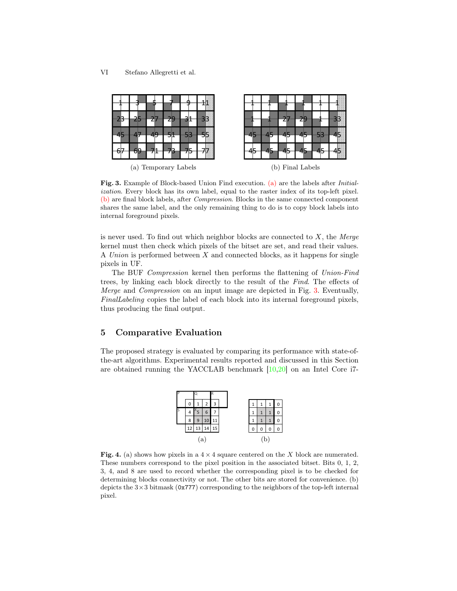<span id="page-5-3"></span>

<span id="page-5-5"></span><span id="page-5-4"></span>Fig. 3. Example of Block-based Union Find execution. [\(a\)](#page-5-3) are the labels after Initialization. Every block has its own label, equal to the raster index of its top-left pixel. [\(b\)](#page-5-4) are final block labels, after Compression. Blocks in the same connected component shares the same label, and the only remaining thing to do is to copy block labels into internal foreground pixels.

is never used. To find out which neighbor blocks are connected to  $X$ , the Merge kernel must then check which pixels of the bitset are set, and read their values. A Union is performed between  $X$  and connected blocks, as it happens for single pixels in UF.

The BUF Compression kernel then performs the flattening of Union-Find trees, by linking each block directly to the result of the Find. The effects of Merge and Compression on an input image are depicted in Fig. [3.](#page-5-5) Eventually, FinalLabeling copies the label of each block into its internal foreground pixels, thus producing the final output.

#### <span id="page-5-0"></span>5 Comparative Evaluation

The proposed strategy is evaluated by comparing its performance with state-ofthe-art algorithms. Experimental results reported and discussed in this Section are obtained running the YACCLAB benchmark [\[10,](#page-9-10)[20\]](#page-10-14) on an Intel Core i7-

<span id="page-5-2"></span>

<span id="page-5-1"></span>Fig. 4. (a) shows how pixels in a  $4 \times 4$  square centered on the X block are numerated. These numbers correspond to the pixel position in the associated bitset. Bits 0, 1, 2, 3, 4, and 8 are used to record whether the corresponding pixel is to be checked for determining blocks connectivity or not. The other bits are stored for convenience. (b) depicts the  $3\times3$  bitmask (0x777) corresponding to the neighbors of the top-left internal pixel.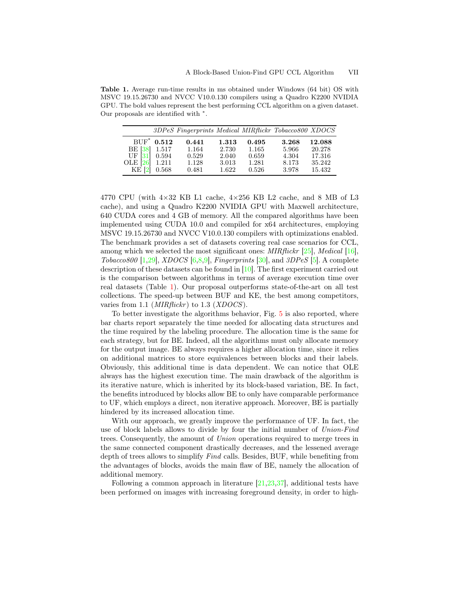<span id="page-6-0"></span>Table 1. Average run-time results in ms obtained under Windows (64 bit) OS with MSVC 19.15.26730 and NVCC V10.0.130 compilers using a Quadro K2200 NVIDIA GPU. The bold values represent the best performing CCL algorithm on a given dataset. Our proposals are identified with  $*$ .

|                                                 |               | 3DPeS Fingerprints Medical MIRflickr Tobacco800 XDOCS |       |       |       |        |
|-------------------------------------------------|---------------|-------------------------------------------------------|-------|-------|-------|--------|
|                                                 | $BUF^*$ 0.512 | 0.441                                                 | 1.313 | 0.495 | 3.268 | 12.088 |
|                                                 |               | 1.164                                                 | 2.730 | 1.165 | 5.966 | 20.278 |
| BE [38] 1.517<br>UF [31] 0.594                  |               | 0.529                                                 | 2.040 | 0.659 | 4.304 | 17.316 |
| OLE $\begin{bmatrix} 26 \\ 1.211 \end{bmatrix}$ |               | 1.128                                                 | 3.013 | 1.281 | 8.173 | 35.242 |
| $KE$ [2] 0.568                                  |               | 0.481                                                 | 1.622 | 0.526 | 3.978 | 15.432 |

4770 CPU (with  $4\times32$  KB L1 cache,  $4\times256$  KB L2 cache, and 8 MB of L3 cache), and using a Quadro K2200 NVIDIA GPU with Maxwell architecture, 640 CUDA cores and 4 GB of memory. All the compared algorithms have been implemented using CUDA 10.0 and compiled for x64 architectures, employing MSVC 19.15.26730 and NVCC V10.0.130 compilers with optimizations enabled. The benchmark provides a set of datasets covering real case scenarios for CCL, among which we selected the most significant ones:  $MIRflickr$  [\[25\]](#page-10-15), Medical [\[16\]](#page-9-11), Tobacco800 [\[1](#page-8-3)[,29\]](#page-10-16), XDOCS [\[6,](#page-9-12)[8](#page-9-13)[,9\]](#page-9-14), Fingerprints [\[30\]](#page-10-17), and 3DPeS [\[5\]](#page-9-15). A complete description of these datasets can be found in [\[10\]](#page-9-10). The first experiment carried out is the comparison between algorithms in terms of average execution time over real datasets (Table [1\)](#page-6-0). Our proposal outperforms state-of-the-art on all test collections. The speed-up between BUF and KE, the best among competitors, varies from 1.1 (*MIRflickr*) to 1.3 (*XDOCS*).

To better investigate the algorithms behavior, Fig. [5](#page-7-0) is also reported, where bar charts report separately the time needed for allocating data structures and the time required by the labeling procedure. The allocation time is the same for each strategy, but for BE. Indeed, all the algorithms must only allocate memory for the output image. BE always requires a higher allocation time, since it relies on additional matrices to store equivalences between blocks and their labels. Obviously, this additional time is data dependent. We can notice that OLE always has the highest execution time. The main drawback of the algorithm is its iterative nature, which is inherited by its block-based variation, BE. In fact, the benefits introduced by blocks allow BE to only have comparable performance to UF, which employs a direct, non iterative approach. Moreover, BE is partially hindered by its increased allocation time.

With our approach, we greatly improve the performance of UF. In fact, the use of block labels allows to divide by four the initial number of Union-Find trees. Consequently, the amount of Union operations required to merge trees in the same connected component drastically decreases, and the lessened average depth of trees allows to simplify Find calls. Besides, BUF, while benefiting from the advantages of blocks, avoids the main flaw of BE, namely the allocation of additional memory.

Following a common approach in literature  $[21,23,37]$  $[21,23,37]$  $[21,23,37]$ , additional tests have been performed on images with increasing foreground density, in order to high-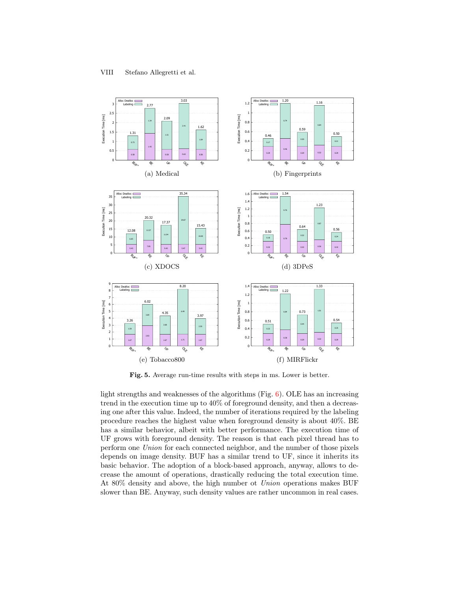

<span id="page-7-0"></span>Fig. 5. Average run-time results with steps in ms. Lower is better.

light strengths and weaknesses of the algorithms (Fig.  $6$ ). OLE has an increasing trend in the execution time up to 40% of foreground density, and then a decreasing one after this value. Indeed, the number of iterations required by the labeling procedure reaches the highest value when foreground density is about 40%. BE has a similar behavior, albeit with better performance. The execution time of UF grows with foreground density. The reason is that each pixel thread has to perform one Union for each connected neighbor, and the number of those pixels depends on image density. BUF has a similar trend to UF, since it inherits its basic behavior. The adoption of a block-based approach, anyway, allows to decrease the amount of operations, drastically reducing the total execution time. At 80% density and above, the high number ot Union operations makes BUF slower than BE. Anyway, such density values are rather uncommon in real cases.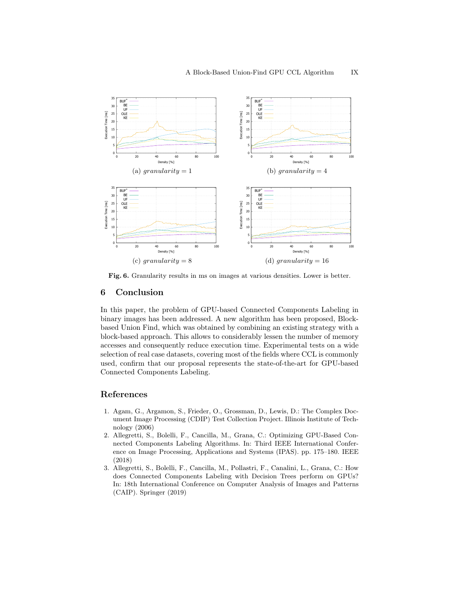

<span id="page-8-4"></span>Fig. 6. Granularity results in ms on images at various densities. Lower is better.

#### <span id="page-8-1"></span>6 Conclusion

In this paper, the problem of GPU-based Connected Components Labeling in binary images has been addressed. A new algorithm has been proposed, Blockbased Union Find, which was obtained by combining an existing strategy with a block-based approach. This allows to considerably lessen the number of memory accesses and consequently reduce execution time. Experimental tests on a wide selection of real case datasets, covering most of the fields where CCL is commonly used, confirm that our proposal represents the state-of-the-art for GPU-based Connected Components Labeling.

### References

- <span id="page-8-3"></span>1. Agam, G., Argamon, S., Frieder, O., Grossman, D., Lewis, D.: The Complex Document Image Processing (CDIP) Test Collection Project. Illinois Institute of Technology (2006)
- <span id="page-8-2"></span>2. Allegretti, S., Bolelli, F., Cancilla, M., Grana, C.: Optimizing GPU-Based Connected Components Labeling Algorithms. In: Third IEEE International Conference on Image Processing, Applications and Systems (IPAS). pp. 175–180. IEEE (2018)
- <span id="page-8-0"></span>3. Allegretti, S., Bolelli, F., Cancilla, M., Pollastri, F., Canalini, L., Grana, C.: How does Connected Components Labeling with Decision Trees perform on GPUs? In: 18th International Conference on Computer Analysis of Images and Patterns (CAIP). Springer (2019)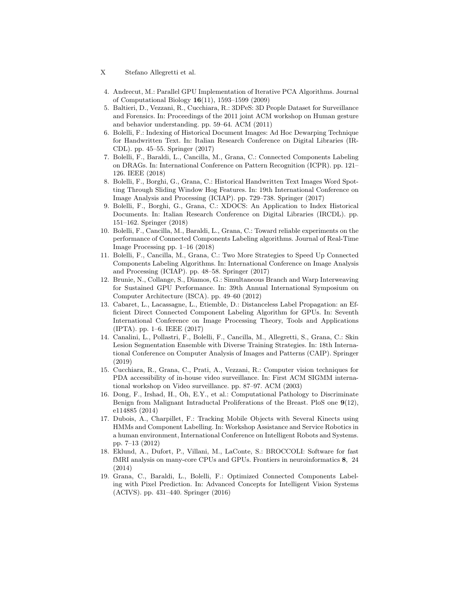- X Stefano Allegretti et al.
- <span id="page-9-0"></span>4. Andrecut, M.: Parallel GPU Implementation of Iterative PCA Algorithms. Journal of Computational Biology 16(11), 1593–1599 (2009)
- <span id="page-9-15"></span>5. Baltieri, D., Vezzani, R., Cucchiara, R.: 3DPeS: 3D People Dataset for Surveillance and Forensics. In: Proceedings of the 2011 joint ACM workshop on Human gesture and behavior understanding. pp. 59–64. ACM (2011)
- <span id="page-9-12"></span>6. Bolelli, F.: Indexing of Historical Document Images: Ad Hoc Dewarping Technique for Handwritten Text. In: Italian Research Conference on Digital Libraries (IR-CDL). pp. 45–55. Springer (2017)
- <span id="page-9-2"></span>7. Bolelli, F., Baraldi, L., Cancilla, M., Grana, C.: Connected Components Labeling on DRAGs. In: International Conference on Pattern Recognition (ICPR). pp. 121– 126. IEEE (2018)
- <span id="page-9-13"></span>8. Bolelli, F., Borghi, G., Grana, C.: Historical Handwritten Text Images Word Spotting Through Sliding Window Hog Features. In: 19th International Conference on Image Analysis and Processing (ICIAP). pp. 729–738. Springer (2017)
- <span id="page-9-14"></span>9. Bolelli, F., Borghi, G., Grana, C.: XDOCS: An Application to Index Historical Documents. In: Italian Research Conference on Digital Libraries (IRCDL). pp. 151–162. Springer (2018)
- <span id="page-9-10"></span>10. Bolelli, F., Cancilla, M., Baraldi, L., Grana, C.: Toward reliable experiments on the performance of Connected Components Labeling algorithms. Journal of Real-Time Image Processing pp. 1–16 (2018)
- <span id="page-9-4"></span>11. Bolelli, F., Cancilla, M., Grana, C.: Two More Strategies to Speed Up Connected Components Labeling Algorithms. In: International Conference on Image Analysis and Processing (ICIAP). pp. 48–58. Springer (2017)
- <span id="page-9-1"></span>12. Brunie, N., Collange, S., Diamos, G.: Simultaneous Branch and Warp Interweaving for Sustained GPU Performance. In: 39th Annual International Symposium on Computer Architecture (ISCA). pp. 49–60 (2012)
- <span id="page-9-5"></span>13. Cabaret, L., Lacassagne, L., Etiemble, D.: Distanceless Label Propagation: an Efficient Direct Connected Component Labeling Algorithm for GPUs. In: Seventh International Conference on Image Processing Theory, Tools and Applications (IPTA). pp. 1–6. IEEE (2017)
- <span id="page-9-6"></span>14. Canalini, L., Pollastri, F., Bolelli, F., Cancilla, M., Allegretti, S., Grana, C.: Skin Lesion Segmentation Ensemble with Diverse Training Strategies. In: 18th International Conference on Computer Analysis of Images and Patterns (CAIP). Springer (2019)
- <span id="page-9-7"></span>15. Cucchiara, R., Grana, C., Prati, A., Vezzani, R.: Computer vision techniques for PDA accessibility of in-house video surveillance. In: First ACM SIGMM international workshop on Video surveillance. pp. 87–97. ACM (2003)
- <span id="page-9-11"></span>16. Dong, F., Irshad, H., Oh, E.Y., et al.: Computational Pathology to Discriminate Benign from Malignant Intraductal Proliferations of the Breast. PloS one 9(12), e114885 (2014)
- <span id="page-9-8"></span>17. Dubois, A., Charpillet, F.: Tracking Mobile Objects with Several Kinects using HMMs and Component Labelling. In: Workshop Assistance and Service Robotics in a human environment, International Conference on Intelligent Robots and Systems. pp. 7–13 (2012)
- <span id="page-9-9"></span>18. Eklund, A., Dufort, P., Villani, M., LaConte, S.: BROCCOLI: Software for fast fMRI analysis on many-core CPUs and GPUs. Frontiers in neuroinformatics 8, 24 (2014)
- <span id="page-9-3"></span>19. Grana, C., Baraldi, L., Bolelli, F.: Optimized Connected Components Labeling with Pixel Prediction. In: Advanced Concepts for Intelligent Vision Systems (ACIVS). pp. 431–440. Springer (2016)